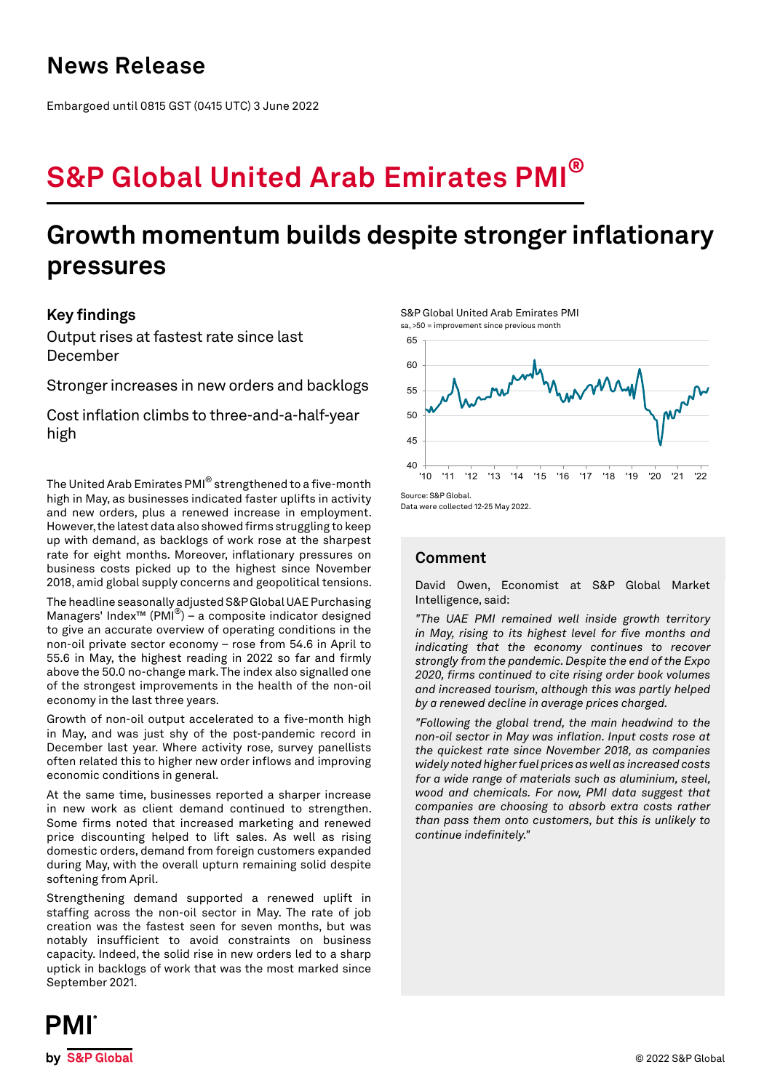## **News Release**

Embargoed until 0815 GST (0415 UTC) 3 June 2022

# **S&P Global United Arab Emirates PMI®**

## **Growth momentum builds despite stronger inflationary pressures**

## **Key findings**

Output rises at fastest rate since last December

Stronger increases in new orders and backlogs

Cost inflation climbs to three-and-a-half-year high

The United Arab Emirates PMI® strengthened to a five-month high in May, as businesses indicated faster uplifts in activity and new orders, plus a renewed increase in employment. However, the latest data also showed firms struggling to keep up with demand, as backlogs of work rose at the sharpest rate for eight months. Moreover, inflationary pressures on business costs picked up to the highest since November 2018, amid global supply concerns and geopolitical tensions.

The headline seasonally adjusted S&P Global UAE Purchasing Managers' Index™ (PMI®) – a composite indicator designed to give an accurate overview of operating conditions in the non-oil private sector economy – rose from 54.6 in April to 55.6 in May, the highest reading in 2022 so far and firmly above the 50.0 no-change mark. The index also signalled one of the strongest improvements in the health of the non-oil economy in the last three years.

Growth of non-oil output accelerated to a five-month high in May, and was just shy of the post-pandemic record in December last year. Where activity rose, survey panellists often related this to higher new order inflows and improving economic conditions in general.

At the same time, businesses reported a sharper increase in new work as client demand continued to strengthen. Some firms noted that increased marketing and renewed price discounting helped to lift sales. As well as rising domestic orders, demand from foreign customers expanded during May, with the overall upturn remaining solid despite softening from April.

Strengthening demand supported a renewed uplift in staffing across the non-oil sector in May. The rate of job creation was the fastest seen for seven months, but was notably insufficient to avoid constraints on business capacity. Indeed, the solid rise in new orders led to a sharp uptick in backlogs of work that was the most marked since September 2021.







Data were collected 12-25 May 2022.

## **Comment**

David Owen, Economist at S&P Global Market Intelligence, said:

*"The UAE PMI remained well inside growth territory in May, rising to its highest level for five months and indicating that the economy continues to recover strongly from the pandemic. Despite the end of the Expo 2020, firms continued to cite rising order book volumes and increased tourism, although this was partly helped by a renewed decline in average prices charged.* 

*"Following the global trend, the main headwind to the non-oil sector in May was inflation. Input costs rose at the quickest rate since November 2018, as companies widely noted higher fuel prices as well as increased costs for a wide range of materials such as aluminium, steel, wood and chemicals. For now, PMI data suggest that companies are choosing to absorb extra costs rather than pass them onto customers, but this is unlikely to continue indefinitely."*